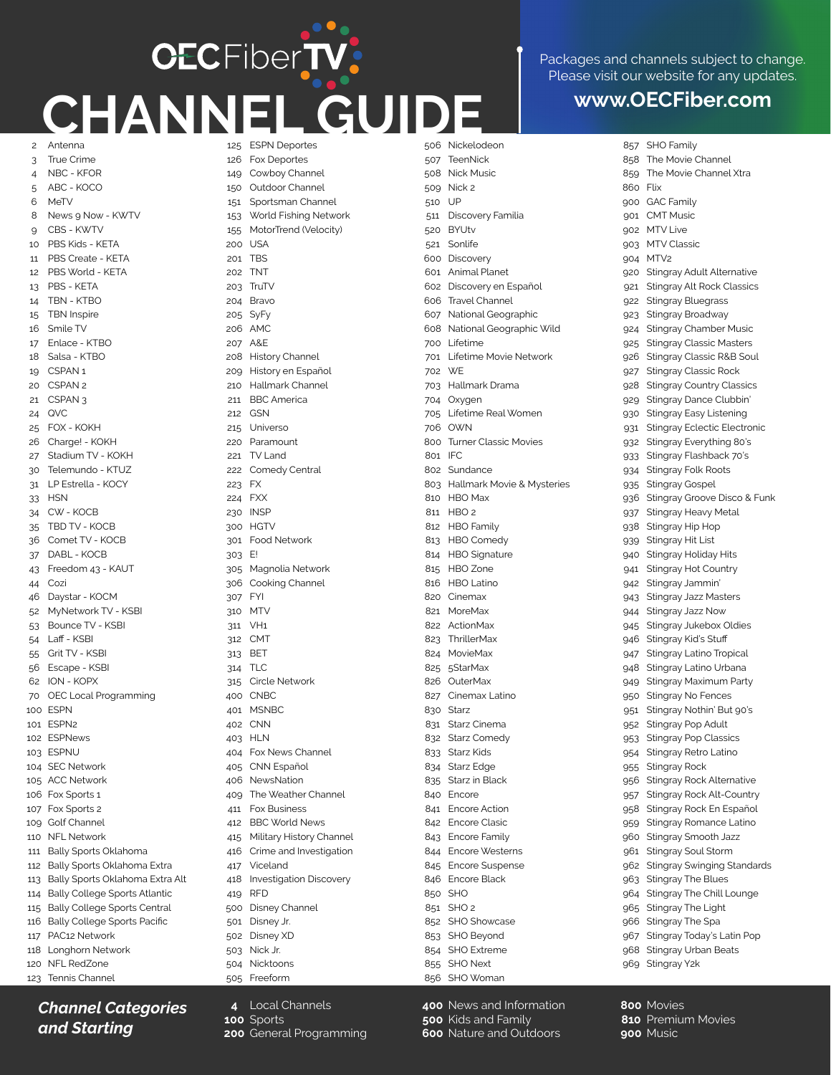## **CECFiberTV CHANNEL GUIDE www.OECFiber.com** 2 Antenna

Packages and channels subject to change. Please visit our website for any updates.

3 4 5 6 8  $\alpha$ 10 11 12 13 14 15 16 17 18 19 20 21 CSPAN 3 24 25 26 27 30 31 33 34 35 36 37 43 44 46 52 53 54 55 56 62 70 100 ESPN 101 ESPN2 102 ESPNews 103 ESPNU 104 SEC Network 105 ACC Network 106 Fox Sports 1 107 Fox Sports 2 109 Golf Channel 110 NFL Network 111 Bally Sports Oklahoma 112 Bally Sports Oklahoma Extra 113 Bally Sports Oklahoma Extra Alt 114 Bally College Sports Atlantic 115 Bally College Sports Central 116 Bally College Sports Pacific 117 PAC12 Network 118 Longhorn Network 120 NFL RedZone 123 Tennis Channel True Crime NBC - KFOR ABC - KOCO **MeTV** News 9 Now - KWTV CBS - KWTV PBS Kids - KETA PBS Create - KETA PBS World - KETA PBS - KETA TBN - KTBO TBN Inspire Smile TV Enlace - KTBO Salsa - KTRO CSPAN<sub>1</sub> CSPAN<sub>2</sub> QVC FOX - KOKH Charge! - KOKH Stadium TV - KOKH Telemundo - KTUZ LP Estrella - KOCY **HSN** CW - KOCB TBD TV - KOCB Comet TV - KOCB DABL - KOCB Freedom 43 - KAUT Cozi Daystar - KOCM MyNetwork TV - KSBI Bounce TV - KSBI Laff - KSBI Grit TV - KSBI Escape - KSBI ION - KOPX OEC Local Programming

125 ESPN Deportes 126 149 150 151 153 155 200 201 202 203 204 Bravo 205 SyFy 206 AMC 207 208 209 210 211 212 215 220 Paramount 221 TV Land 222 Comedy Central 223 FX 224 FXX 230 300 HGTV 301 Food Network 303 E! 305 306 307 310 311 312 CMT 313 314 315 400 401 402 403 404 405 CNN Español 406 NewsNation 409 411 412 415 416 417 418 419 500 Disney Channel 501 Disney Jr. 502 Disney XD 503 Nick Jr. 504 Nicktoons 505 Freeform Fox Deportes Cowboy Channel Outdoor Channel Sportsman Channel World Fishing Network MotorTrend (Velocity) USA TBS TNT **TruTV**  $\triangle$  & F History Channel History en Español Hallmark Channel BBC America **GSN** Universo INSP Magnolia Network Cooking Channel FYI **MTV** VH1 **BET** TLC Circle Network **CNBC** MSNBC **CNN** HL<sub>N</sub> Fox News Channel The Weather Channel Fox Business BBC World News Military History Channel Crime and Investigation Viceland Investigation Discovery RFD

**4** Local Channels

**200** General Programming

**100** Sports

506 Nickelodeon 507 508 Nick Music 509 Nick 2 510 511 520 521 600 Discovery 601 Animal Planet 602 Discovery en Español 606 607 608 700 701 702 703 704 705 706 800 801 802 803 810 811 HBO 2 812 HBO Family 813 HBO Comedy 814 HBO Signature 815 HBO Zone 816 HBO Latino 820 Cinemax 821 MoreMax 822 ActionMax 823 824 MovieMax 825 826 827 830 831 832 833 834 Starz Edge 835 Starz in Black 840 Encore 841 Encore Action 842 Encore Clasic 843 Encore Family 844 Encore Westerns 845 Encore Suspense 846 Encore Black 850 SHO 851 SHO 2 852 SHO Showcase 853 SHO Beyond 854 SHO Extreme 855 SHO Next 856 SHO Woman TeenNick UP Discovery Familia **BYUtv** Sonlife Travel Channel National Geographic National Geographic Wild Lifetime Lifetime Movie Network WE Hallmark Drama **Oxygen** Lifetime Real Women OWN Turner Classic Movies IFC Sundance Hallmark Movie & Mysteries HBO Max **ThrillerMax** 5StarMax **OuterMax** Cinemax Latino **Starz** Starz Cinema Starz Comedy Starz Kids

> **400** News and Information **500** Kids and Family **600** Nature and Outdoors

857 SHO Family 858 The Movie Channel 859 860 900 GAC Family  $0<sub>01</sub>$  $0<sub>0</sub>$  $903$  $0<sub>0</sub>$ 920 921 922 923 924 925 926 927 928 929 930 **931** 932 933 934 935 936 937 938 939 940 941 942 943 944 945 946  $Q<sub>47</sub>$ 948 949 950 951 952 953  $954$ 955 956 957 958 959 960 961 962 963 964 965 966 Stingray The Spa 967 Stingray Today's Latin Pop 968 Stingray Urban Beats 969 Stingray Y2k The Movie Channel Xtra Flix CMT Music MTV Live MTV Classic MTV<sub>2</sub> Stingray Adult Alternative Stingray Alt Rock Classics Stingray Bluegrass Stingray Broadway Stingray Chamber Music Stingray Classic Masters Stingray Classic R&B Soul Stingray Classic Rock Stingray Country Classics Stingray Dance Clubbin' Stingray Easy Listening Stingray Eclectic Electronic Stingray Everything 80's Stingray Flashback 70's Stingray Folk Roots Stingray Gospel Stingray Groove Disco & Funk Stingray Heavy Metal Stingray Hip Hop Stingray Hit List Stingray Holiday Hits Stingray Hot Country Stingray Jammin' Stingray Jazz Masters Stingray Jazz Now Stingray Jukebox Oldies Stingray Kid's Stuff Stingray Latino Tropical Stingray Latino Urbana Stingray Maximum Party Stingray No Fences Stingray Nothin' But 90's Stingray Pop Adult Stingray Pop Classics Stingray Retro Latino Stingray Rock Stingray Rock Alternative Stingray Rock Alt-Country Stingray Rock En Español Stingray Romance Latino Stingray Smooth Jazz Stingray Soul Storm Stingray Swinging Standards Stingray The Blues Stingray The Chill Lounge Stingray The Light

## *Channel Categories and Starting*

**800** Movies **810** Premium Movies **900** Music